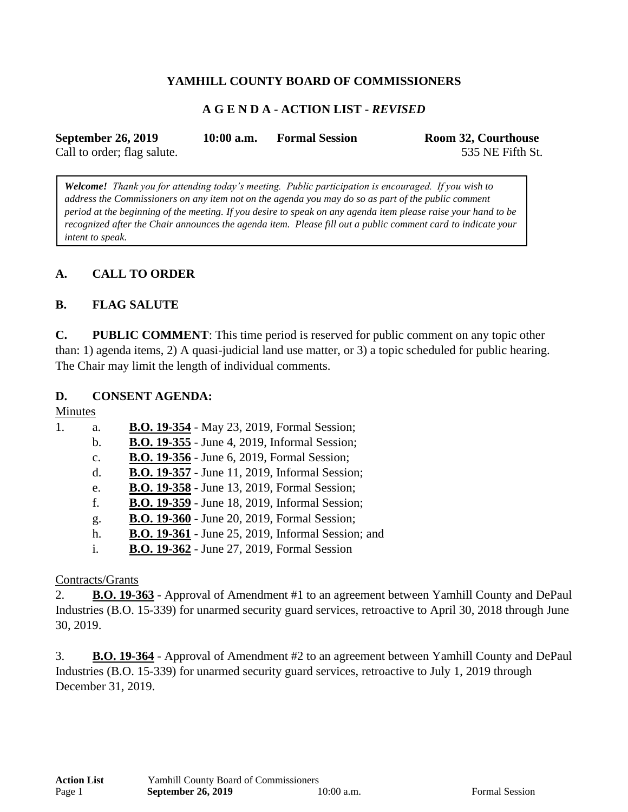## **YAMHILL COUNTY BOARD OF COMMISSIONERS**

### **A G E N D A - ACTION LIST -** *REVISED*

| <b>September 26, 2019</b>   | $10:00$ a.m. | <b>Formal Session</b> | Room 32, Courthouse |
|-----------------------------|--------------|-----------------------|---------------------|
| Call to order; flag salute. |              |                       | 535 NE Fifth St.    |

*Welcome! Thank you for attending today's meeting. Public participation is encouraged. If you wish to address the Commissioners on any item not on the agenda you may do so as part of the public comment period at the beginning of the meeting. If you desire to speak on any agenda item please raise your hand to be recognized after the Chair announces the agenda item. Please fill out a public comment card to indicate your intent to speak.*

### **A. CALL TO ORDER**

#### **B. FLAG SALUTE**

**C. PUBLIC COMMENT**: This time period is reserved for public comment on any topic other than: 1) agenda items, 2) A quasi-judicial land use matter, or 3) a topic scheduled for public hearing. The Chair may limit the length of individual comments.

#### **D. CONSENT AGENDA:**

Minutes

| 1. | a.             | <b>B.O. 19-354</b> - May 23, 2019, Formal Session;        |
|----|----------------|-----------------------------------------------------------|
|    | $\mathbf b$ .  | <b>B.O. 19-355</b> - June 4, 2019, Informal Session;      |
|    | $\mathbf{c}$ . | <b>B.O. 19-356</b> - June 6, 2019, Formal Session;        |
|    | $\mathbf{d}$ . | <b>B.O. 19-357</b> - June 11, 2019, Informal Session;     |
|    | e.             | <b>B.O. 19-358</b> - June 13, 2019, Formal Session;       |
|    | f.             | <b>B.O. 19-359</b> - June 18, 2019, Informal Session;     |
|    | g.             | <b>B.O. 19-360</b> - June 20, 2019, Formal Session;       |
|    | h.             | <b>B.O. 19-361</b> - June 25, 2019, Informal Session; and |
|    | i.             | <b>B.O. 19-362</b> - June 27, 2019, Formal Session        |

#### Contracts/Grants

2. **B.O. 19-363** - Approval of Amendment #1 to an agreement between Yamhill County and DePaul Industries (B.O. 15-339) for unarmed security guard services, retroactive to April 30, 2018 through June 30, 2019.

3. **B.O. 19-364** - Approval of Amendment #2 to an agreement between Yamhill County and DePaul Industries (B.O. 15-339) for unarmed security guard services, retroactive to July 1, 2019 through December 31, 2019.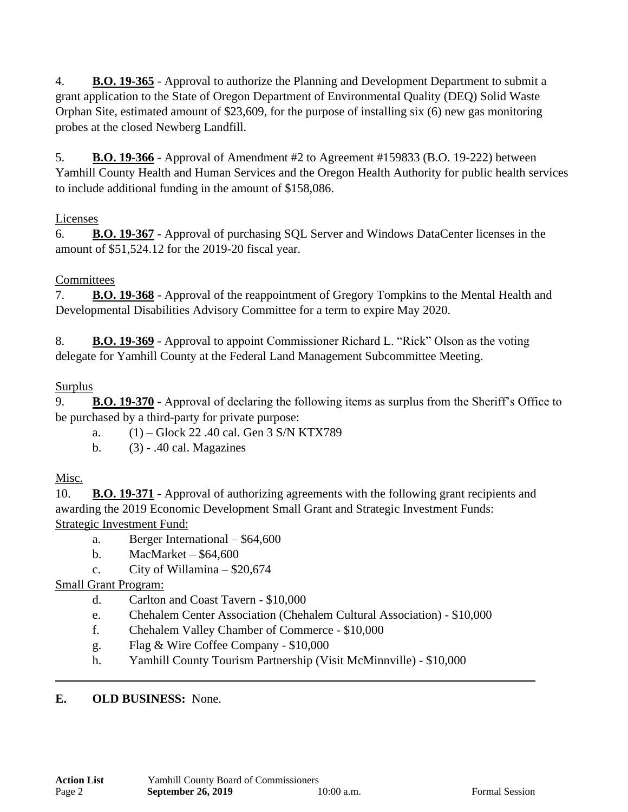4. **B.O. 19-365** - Approval to authorize the Planning and Development Department to submit a grant application to the State of Oregon Department of Environmental Quality (DEQ) Solid Waste Orphan Site, estimated amount of \$23,609, for the purpose of installing six (6) new gas monitoring probes at the closed Newberg Landfill.

5. **B.O. 19-366** - Approval of Amendment #2 to Agreement #159833 (B.O. 19-222) between Yamhill County Health and Human Services and the Oregon Health Authority for public health services to include additional funding in the amount of \$158,086.

## Licenses

6. **B.O. 19-367** - Approval of purchasing SQL Server and Windows DataCenter licenses in the amount of \$51,524.12 for the 2019-20 fiscal year.

# **Committees**

7. **B.O. 19-368** - Approval of the reappointment of Gregory Tompkins to the Mental Health and Developmental Disabilities Advisory Committee for a term to expire May 2020.

8. **B.O. 19-369** - Approval to appoint Commissioner Richard L. "Rick" Olson as the voting delegate for Yamhill County at the Federal Land Management Subcommittee Meeting.

# Surplus

9. **B.O. 19-370** - Approval of declaring the following items as surplus from the Sheriff's Office to be purchased by a third-party for private purpose:

- a. (1) Glock 22 .40 cal. Gen 3 S/N KTX789
- b. (3) .40 cal. Magazines

# Misc.

10. **B.O. 19-371** - Approval of authorizing agreements with the following grant recipients and awarding the 2019 Economic Development Small Grant and Strategic Investment Funds: Strategic Investment Fund:

- a. Berger International \$64,600
- b. MacMarket \$64,600
- c. City of Willamina  $-$  \$20,674

# Small Grant Program:

- d. Carlton and Coast Tavern \$10,000
- e. Chehalem Center Association (Chehalem Cultural Association) \$10,000
- f. Chehalem Valley Chamber of Commerce \$10,000
- g. Flag & Wire Coffee Company \$10,000
- h. Yamhill County Tourism Partnership (Visit McMinnville) \$10,000

## **E. OLD BUSINESS:** None.